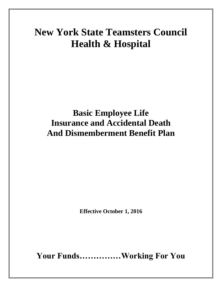# **New York State Teamsters Council Health & Hospital**

# **Basic Employee Life Insurance and Accidental Death And Dismemberment Benefit Plan**

**Effective October 1, 2016**

**Your Funds……………Working For You**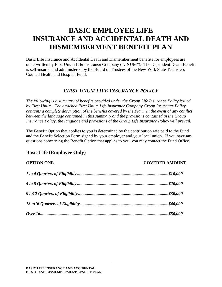## **BASIC EMPLOYEE LIFE INSURANCE AND ACCIDENTAL DEATH AND DISMEMBERMENT BENEFIT PLAN**

Basic Life Insurance and Accidental Death and Dismemberment benefits for employees are underwritten by First Unum Life Insurance Company ("UNUM"). The Dependent Death Benefit is self-insured and administered by the Board of Trustees of the New York State Teamsters Council Health and Hospital Fund.

#### *FIRST UNUM LIFE INSURANCE POLICY*

*The following is a summary of benefits provided under the Group Life Insurance Policy issued by First Unum. The attached First Unum Life Insurance Company Group Insurance Policy contains a complete description of the benefits covered by the Plan. In the event of any conflict between the language contained in this summary and the provisions contained in the Group Insurance Policy, the language and provisions of the Group Life Insurance Policy will prevail.*

The Benefit Option that applies to you is determined by the contribution rate paid to the Fund and the Benefit Selection Form signed by your employer and your local union. If you have any questions concerning the Benefit Option that applies to you, you may contact the Fund Office.

#### **Basic Life (Employee Only)**

#### **OPTION ONE COVERED AMOUNT**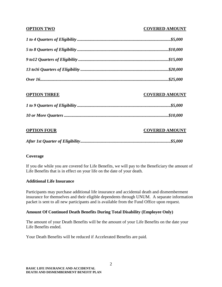#### **OPTION TWO COVERED AMOUNT**

| <b>OPTION THREE</b> | <b>COVERED AMOUNT</b> |
|---------------------|-----------------------|
|                     |                       |
|                     |                       |
| <b>OPTION FOUR</b>  | <b>COVERED AMOUNT</b> |

*After 1st Quarter of Eligibility...................................................................................\$5,000*

#### **Coverage**

If you die while you are covered for Life Benefits, we will pay to the Beneficiary the amount of Life Benefits that is in effect on your life on the date of your death.

#### **Additional Life Insurance**

Participants may purchase additional life insurance and accidental death and dismemberment insurance for themselves and their eligible dependents through UNUM. A separate information packet is sent to all new participants and is available from the Fund Office upon request.

#### **Amount Of Continued Death Benefits During Total Disability (Employee Only)**

The amount of your Death Benefits will be the amount of your Life Benefits on the date your Life Benefits ended.

Your Death Benefits will be reduced if Accelerated Benefits are paid.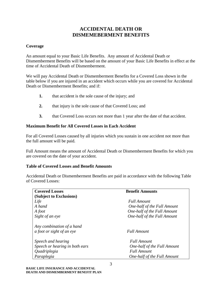### **ACCIDENTAL DEATH OR DISMEMEBERMENT BENEFITS**

#### **Coverage**

An amount equal to your Basic Life Benefits. Any amount of Accidental Death or Dismemberment Benefits will be based on the amount of your Basic Life Benefits in effect at the time of Accidental Death of Dismemberment.

We will pay Accidental Death or Dismemberment Benefits for a Covered Loss shown in the table below if you are injured in an accident which occurs while you are covered for Accidental Death or Dismemberment Benefits; and if:

- **1.** that accident is the sole cause of the injury; and
- **2.** that injury is the sole cause of that Covered Loss; and
- **3.** that Covered Loss occurs not more than 1 year after the date of that accident.

#### **Maximum Benefit for All Covered Losses in Each Accident**

For all Covered Losses caused by all injuries which you sustain in one accident not more than the full amount will be paid.

Full Amount means the amount of Accidental Death or Dismemberment Benefits for which you are covered on the date of your accident.

#### **Table of Covered Losses and Benefit Amounts**

Accidental Death or Dismemberment Benefits are paid in accordance with the following Table of Covered Losses:

| <b>Covered Losses</b>          | <b>Benefit Amounts</b>      |
|--------------------------------|-----------------------------|
| (Subject to Exclusions)        |                             |
| Life                           | <b>Full Amount</b>          |
| A hand                         | One-half of the Full Amount |
| A foot                         | One-half of the Full Amount |
| Sight of an eye                | One-half of the Full Amount |
| Any combination of a hand      |                             |
| a foot or sight of an eye      | <b>Full Amount</b>          |
| Speech and hearing             | <b>Full Amount</b>          |
| Speech or hearing in both ears | One-half of the Full Amount |
| Quadriplegia                   | <b>Full Amount</b>          |
| Paraplegia                     | One-half of the Full Amount |
|                                |                             |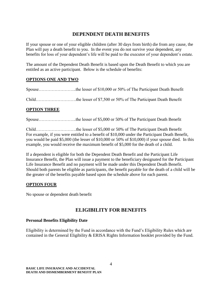#### **DEPENDENT DEATH BENEFITS**

If your spouse or one of your eligible children (after 30 days from birth) die from any cause, the Plan will pay a death benefit to you. In the event you do not survive your dependent, any benefits for loss of your dependent's life will be paid to the executor of your dependent's estate.

The amount of the Dependent Death Benefit is based upon the Death Benefit to which you are entitled as an active participant. Below is the schedule of benefits:

#### **OPTIONS ONE AND TWO**

Spouse……………………..the lesser of \$10,000 or 50% of The Participant Death Benefit

Child……………………….the lesser of \$7,500 or 50% of The Participant Death Benefit

#### **OPTION THREE**

Spouse……………………..the lesser of \$5,000 or 50% of The Participant Death Benefit

Child……………………….the lesser of \$5,000 or 50% of The Participant Death Benefit For example, if you were entitled to a benefit of \$10,000 under the Participant Death Benefit, you would be paid \$5,000 (the lesser of \$10,000 or 50% of \$10,000) if your spouse died. In this example, you would receive the maximum benefit of \$5,000 for the death of a child.

If a dependent is eligible for both the Dependent Death Benefit and the Participant Life Insurance Benefit, the Plan will issue a payment to the beneficiary designated for the Participant Life Insurance Benefit and no payment will be made under this Dependent Death Benefit. Should both parents be eligible as participants, the benefit payable for the death of a child will be the greater of the benefits payable based upon the schedule above for each parent.

#### **OPTION FOUR**

No spouse or dependent death benefit

## **ELIGIBILITY FOR BENEFITS**

#### **Personal Benefits Eligibility Date**

Eligibility is determined by the Fund in accordance with the Fund's Eligibility Rules which are contained in the General Eligibility & ERISA Rights Information booklet provided by the Fund.